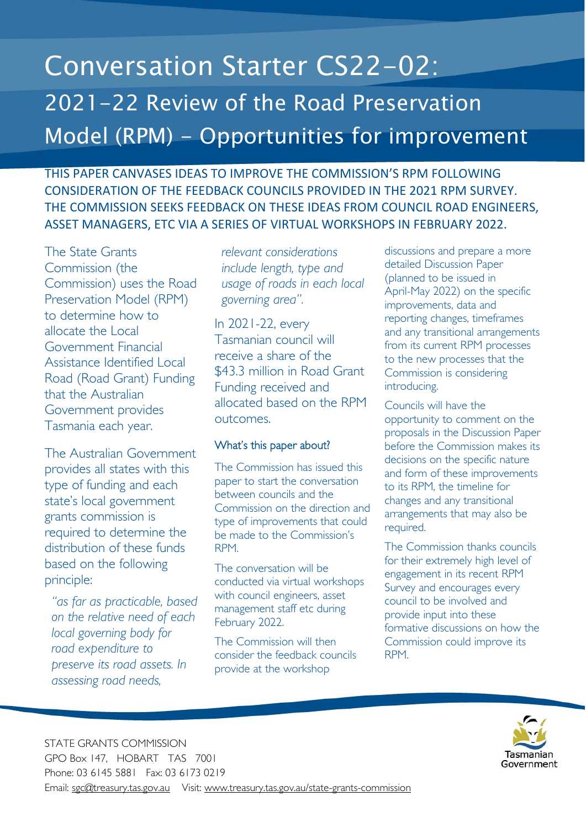# Conversation Starter CS22-02: 2021-22 Review of the Road Preservation Model (RPM) - Opportunities for improvement

THIS PAPER CANVASES IDEAS TO IMPROVE THE COMMISSION'S RPM FOLLOWING CONSIDERATION OF THE FEEDBACK COUNCILS PROVIDED IN THE 2021 RPM SURVEY. THE COMMISSION SEEKS FEEDBACK ON THESE IDEAS FROM COUNCIL ROAD ENGINEERS, ASSET MANAGERS, ETC VIA A SERIES OF VIRTUAL WORKSHOPS IN FEBRUARY 2022.

The State Grants Commission (the Commission) uses the Road Preservation Model (RPM) to determine how to allocate the Local Government Financial Assistance Identified Local Road (Road Grant) Funding that the Australian Government provides Tasmania each year.

The Australian Government provides all states with this type of funding and each state's local government grants commission is required to determine the distribution of these funds based on the following principle:

*"as far as practicable, based on the relative need of each local governing body for road expenditure to preserve its road assets. In assessing road needs,* 

*relevant considerations include length, type and usage of roads in each local governing area".* 

In 2021-22, every Tasmanian council will receive a share of the \$43.3 million in Road Grant Funding received and allocated based on the RPM outcomes.

# What's this paper about?

The Commission has issued this paper to start the conversation between councils and the Commission on the direction and type of improvements that could be made to the Commission's RPM.

The conversation will be conducted via virtual workshops with council engineers, asset management staff etc during February 2022.

The Commission will then consider the feedback councils provide at the workshop

discussions and prepare a more detailed Discussion Paper (planned to be issued in April-May 2022) on the specific improvements, data and reporting changes, timeframes and any transitional arrangements from its current RPM processes to the new processes that the Commission is considering introducing.

Councils will have the opportunity to comment on the proposals in the Discussion Paper before the Commission makes its decisions on the specific nature and form of these improvements to its RPM, the timeline for changes and any transitional arrangements that may also be required.

The Commission thanks councils for their extremely high level of engagement in its recent RPM Survey and encourages every council to be involved and provide input into these formative discussions on how the Commission could improve its RPM.



STATE GRANTS COMMISSION GPO Box 147, HOBART TAS 7001 Phone: 03 6145 5881 Fax: 03 6173 0219 Email: sgc@treasury.tas.gov.au Visit: www.treasury.tas.gov.au/state-grants-commission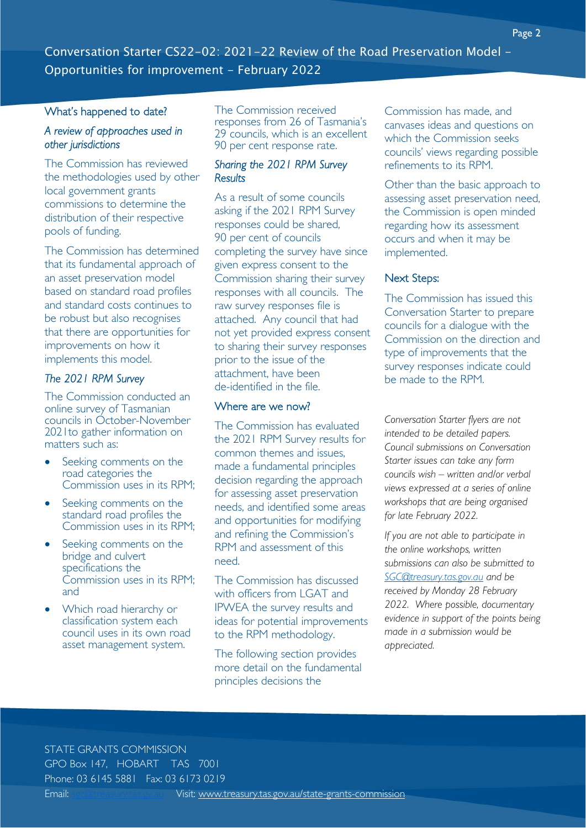## What's happened to date?

## *A review of approaches used in other jurisdictions*

The Commission has reviewed the methodologies used by other local government grants commissions to determine the distribution of their respective pools of funding.

The Commission has determined that its fundamental approach of an asset preservation model based on standard road profiles and standard costs continues to be robust but also recognises that there are opportunities for improvements on how it implements this model.

# *The 2021 RPM Survey*

The Commission conducted an online survey of Tasmanian councils in October-November 2021to gather information on matters such as:

- Seeking comments on the road categories the Commission uses in its RPM;
- Seeking comments on the standard road profiles the Commission uses in its RPM;
- Seeking comments on the bridge and culvert specifications the Commission uses in its RPM; and
- Which road hierarchy or classification system each council uses in its own road asset management system.

The Commission received responses from 26 of Tasmania's 29 councils, which is an excellent 90 per cent response rate.

# *Sharing the 2021 RPM Survey Results*

As a result of some councils asking if the 2021 RPM Survey responses could be shared, 90 per cent of councils completing the survey have since given express consent to the Commission sharing their survey responses with all councils. The raw survey responses file is attached. Any council that had not yet provided express consent to sharing their survey responses prior to the issue of the attachment, have been de-identified in the file.

# Where are we now?

The Commission has evaluated the 2021 RPM Survey results for common themes and issues, made a fundamental principles decision regarding the approach for assessing asset preservation needs, and identified some areas and opportunities for modifying and refining the Commission's RPM and assessment of this need.

The Commission has discussed with officers from LGAT and IPWEA the survey results and ideas for potential improvements to the RPM methodology.

The following section provides more detail on the fundamental principles decisions the

Commission has made, and canvases ideas and questions on which the Commission seeks councils' views regarding possible refinements to its RPM.

Other than the basic approach to assessing asset preservation need, the Commission is open minded regarding how its assessment occurs and when it may be implemented.

### Next Steps:

The Commission has issued this Conversation Starter to prepare councils for a dialogue with the Commission on the direction and type of improvements that the survey responses indicate could be made to the RPM.

*Conversation Starter flyers are not intended to be detailed papers. Council submissions on Conversation Starter issues can take any form councils wish – written and/or verbal views expressed at a series of online workshops that are being organised for late February 2022.* 

*If you are not able to participate in the online workshops, written submissions can also be submitted to SGC@treasury.tas.gov.au and be received by Monday 28 February 2022. Where possible, documentary evidence in support of the points being made in a submission would be appreciated.* 

# STATE GRANTS COMMISSION

GPO Box 147, HOBART TAS 7001 Phone: 03 6145 5881 Fax: 03 6173 0219 Email: secotreasury.las.gv.au Visit: www.treasury.tas.gov.au/state-grants-commission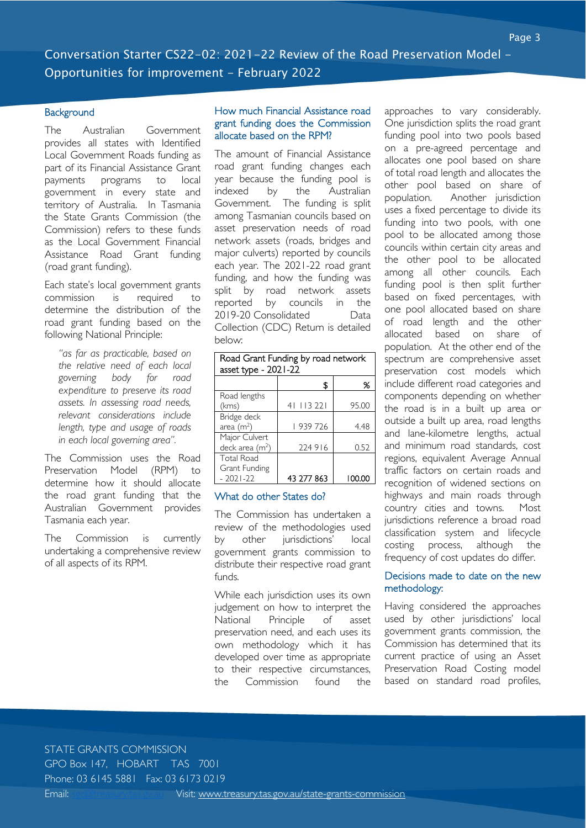#### **Background**

The Australian Government provides all states with Identified Local Government Roads funding as part of its Financial Assistance Grant payments programs to local government in every state and territory of Australia. In Tasmania the State Grants Commission (the Commission) refers to these funds as the Local Government Financial Assistance Road Grant funding (road grant funding).

Each state's local government grants commission is required to determine the distribution of the road grant funding based on the following National Principle:

*"as far as practicable, based on the relative need of each local governing body for road expenditure to preserve its road assets. In assessing road needs, relevant considerations include length, type and usage of roads in each local governing area".* 

The Commission uses the Road Preservation Model (RPM) to determine how it should allocate the road grant funding that the Australian Government provides Tasmania each year.

The Commission is currently undertaking a comprehensive review of all aspects of its RPM.

#### How much Financial Assistance road grant funding does the Commission allocate based on the RPM?

The amount of Financial Assistance road grant funding changes each year because the funding pool is indexed by the Australian Government. The funding is split among Tasmanian councils based on asset preservation needs of road network assets (roads, bridges and major culverts) reported by councils each year. The 2021-22 road grant funding, and how the funding was split by road network assets reported by councils in the 2019-20 Consolidated Data Collection (CDC) Return is detailed below:

| Road Grant Funding by road network |            |        |  |  |  |  |
|------------------------------------|------------|--------|--|--|--|--|
| asset type - 2021-22               |            |        |  |  |  |  |
|                                    | S          | %      |  |  |  |  |
| Road lengths                       |            |        |  |  |  |  |
| (kms)                              | 41 113 221 | 95.00  |  |  |  |  |
| Bridge deck                        |            |        |  |  |  |  |
| area $(m2)$                        | 939 726    | 4.48   |  |  |  |  |
| Major Culvert                      |            |        |  |  |  |  |
| deck area $(m2)$                   | 224 916    | 0.52   |  |  |  |  |
| <b>Total Road</b>                  |            |        |  |  |  |  |
| Grant Funding                      |            |        |  |  |  |  |
| $-2021-22$                         | 43 277 863 | 100.00 |  |  |  |  |

#### What do other States do?

The Commission has undertaken a review of the methodologies used by other jurisdictions' local government grants commission to distribute their respective road grant funds.

While each jurisdiction uses its own judgement on how to interpret the National Principle of asset preservation need, and each uses its own methodology which it has developed over time as appropriate to their respective circumstances, the Commission found the

approaches to vary considerably. One jurisdiction splits the road grant funding pool into two pools based on a pre-agreed percentage and allocates one pool based on share of total road length and allocates the other pool based on share of population. Another jurisdiction uses a fixed percentage to divide its funding into two pools, with one pool to be allocated among those councils within certain city areas and the other pool to be allocated among all other councils. Each funding pool is then split further based on fixed percentages, with one pool allocated based on share of road length and the other allocated based on share of population. At the other end of the spectrum are comprehensive asset preservation cost models which include different road categories and components depending on whether the road is in a built up area or outside a built up area, road lengths and lane-kilometre lengths, actual and minimum road standards, cost regions, equivalent Average Annual traffic factors on certain roads and recognition of widened sections on highways and main roads through country cities and towns. Most jurisdictions reference a broad road classification system and lifecycle costing process, although the frequency of cost updates do differ.

#### Decisions made to date on the new methodology:

Having considered the approaches used by other jurisdictions' local government grants commission, the Commission has determined that its current practice of using an Asset Preservation Road Costing model based on standard road profiles,

#### STATE GRANTS COMMISSION

GPO Box 147, HOBART TAS 7001

Phone: 03 6145 5881 Fax: 03 6173 0219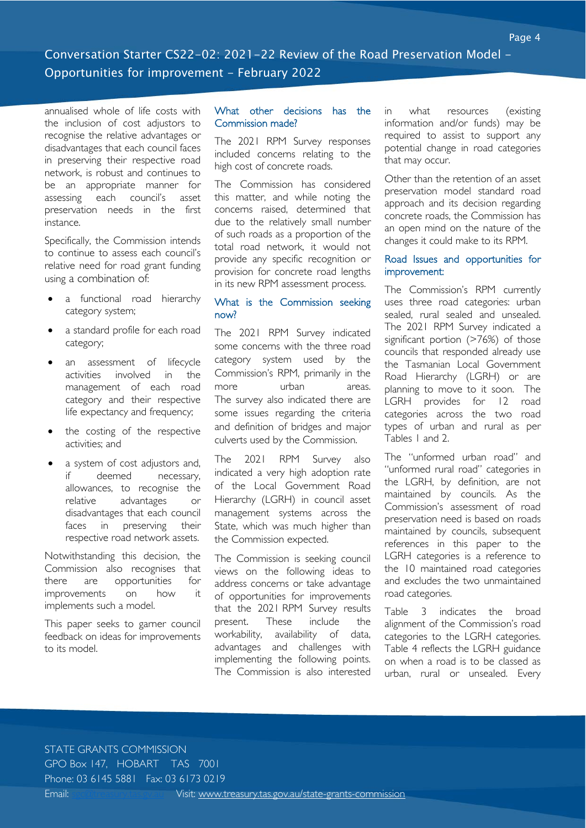annualised whole of life costs with the inclusion of cost adjustors to recognise the relative advantages or disadvantages that each council faces in preserving their respective road network, is robust and continues to be an appropriate manner for assessing each council's asset preservation needs in the first instance.

Specifically, the Commission intends to continue to assess each council's relative need for road grant funding using a combination of:

- a functional road hierarchy category system;
- a standard profile for each road category;
- an assessment of lifecycle activities involved in the management of each road category and their respective life expectancy and frequency;
- the costing of the respective activities; and
- a system of cost adjustors and, if deemed necessary, allowances, to recognise the relative advantages or disadvantages that each council faces in preserving their respective road network assets.

Notwithstanding this decision, the Commission also recognises that there are opportunities for improvements on how it implements such a model.

This paper seeks to garner council feedback on ideas for improvements to its model.

#### What other decisions has the Commission made?

The 2021 RPM Survey responses included concerns relating to the high cost of concrete roads.

The Commission has considered this matter, and while noting the concerns raised, determined that due to the relatively small number of such roads as a proportion of the total road network, it would not provide any specific recognition or provision for concrete road lengths in its new RPM assessment process.

#### What is the Commission seeking now?

The 2021 RPM Survey indicated some concerns with the three road category system used by the Commission's RPM, primarily in the more urban areas. The survey also indicated there are some issues regarding the criteria and definition of bridges and major culverts used by the Commission.

The 2021 RPM Survey also indicated a very high adoption rate of the Local Government Road Hierarchy (LGRH) in council asset management systems across the State, which was much higher than the Commission expected.

The Commission is seeking council views on the following ideas to address concerns or take advantage of opportunities for improvements that the 2021 RPM Survey results present. These include the workability, availability of data, advantages and challenges with implementing the following points. The Commission is also interested

in what resources (existing information and/or funds) may be required to assist to support any potential change in road categories that may occur.

Other than the retention of an asset preservation model standard road approach and its decision regarding concrete roads, the Commission has an open mind on the nature of the changes it could make to its RPM.

#### Road Issues and opportunities for improvement:

The Commission's RPM currently uses three road categories: urban sealed, rural sealed and unsealed. The 2021 RPM Survey indicated a significant portion (>76%) of those councils that responded already use the Tasmanian Local Government Road Hierarchy (LGRH) or are planning to move to it soon. The LGRH provides for 12 road categories across the two road types of urban and rural as per Tables 1 and 2.

The "unformed urban road" and "unformed rural road" categories in the LGRH, by definition, are not maintained by councils. As the Commission's assessment of road preservation need is based on roads maintained by councils, subsequent references in this paper to the LGRH categories is a reference to the 10 maintained road categories and excludes the two unmaintained road categories.

Table 3 indicates the broad alignment of the Commission's road categories to the LGRH categories. Table 4 reflects the LGRH guidance on when a road is to be classed as urban, rural or unsealed. Every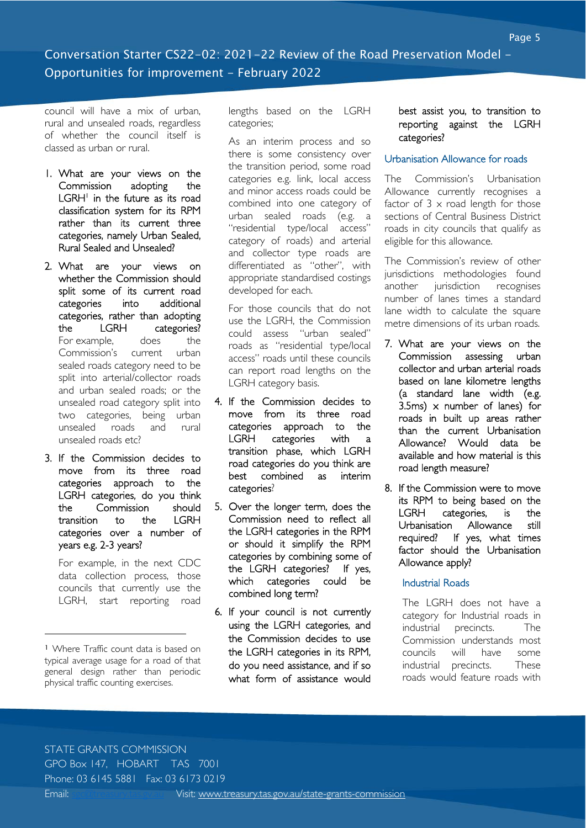council will have a mix of urban, rural and unsealed roads, regardless of whether the council itself is classed as urban or rural.

- 1. What are your views on the Commission adopting the LGRH<sup>1</sup> in the future as its road classification system for its RPM rather than its current three categories, namely Urban Sealed, Rural Sealed and Unsealed?
- 2. What are your views on whether the Commission should split some of its current road categories into additional categories, rather than adopting the LGRH categories? For example, does the Commission's current urban sealed roads category need to be split into arterial/collector roads and urban sealed roads; or the unsealed road category split into two categories, being urban unsealed roads and rural unsealed roads etc?
- 3. If the Commission decides to move from its three road categories approach to the LGRH categories, do you think the Commission should transition to the LGRH categories over a number of years e.g. 2-3 years?

For example, in the next CDC data collection process, those councils that currently use the LGRH, start reporting road

<sup>1</sup> Where Traffic count data is based on typical average usage for a road of that general design rather than periodic physical traffic counting exercises.

lengths based on the LGRH categories;

As an interim process and so there is some consistency over the transition period, some road categories e.g. link, local access and minor access roads could be combined into one category of urban sealed roads (e.g. a "residential type/local access" category of roads) and arterial and collector type roads are differentiated as "other", with appropriate standardised costings developed for each.

For those councils that do not use the LGRH, the Commission could assess "urban sealed" roads as "residential type/local access" roads until these councils can report road lengths on the LGRH category basis.

- 4. If the Commission decides to move from its three road categories approach to the LGRH categories with a transition phase, which LGRH road categories do you think are best combined as interim categories?
- 5. Over the longer term, does the Commission need to reflect all the LGRH categories in the RPM or should it simplify the RPM categories by combining some of the LGRH categories? If yes, which categories could be combined long term?
- 6. If your council is not currently using the LGRH categories, and the Commission decides to use the LGRH categories in its RPM, do you need assistance, and if so what form of assistance would

#### best assist you, to transition to reporting against the LGRH categories?

#### Urbanisation Allowance for roads

The Commission's Urbanisation Allowance currently recognises a factor of  $3 \times$  road length for those sections of Central Business District roads in city councils that qualify as eligible for this allowance.

The Commission's review of other jurisdictions methodologies found another jurisdiction recognises number of lanes times a standard lane width to calculate the square metre dimensions of its urban roads.

- 7. What are your views on the Commission assessing urban collector and urban arterial roads based on lane kilometre lengths (a standard lane width (e.g. 3.5ms)  $\times$  number of lanes) for roads in built up areas rather than the current Urbanisation Allowance? Would data be available and how material is this road length measure?
- 8. If the Commission were to move its RPM to being based on the LGRH categories, is the Urbanisation Allowance still required? If yes, what times factor should the Urbanisation Allowance apply?

#### Industrial Roads

The LGRH does not have a category for Industrial roads in industrial precincts. The Commission understands most councils will have some industrial precincts. These roads would feature roads with

# STATE GRANTS COMMISSION

GPO Box 147, HOBART TAS 7001

Phone: 03 6145 5881 Fax: 03 6173 0219

-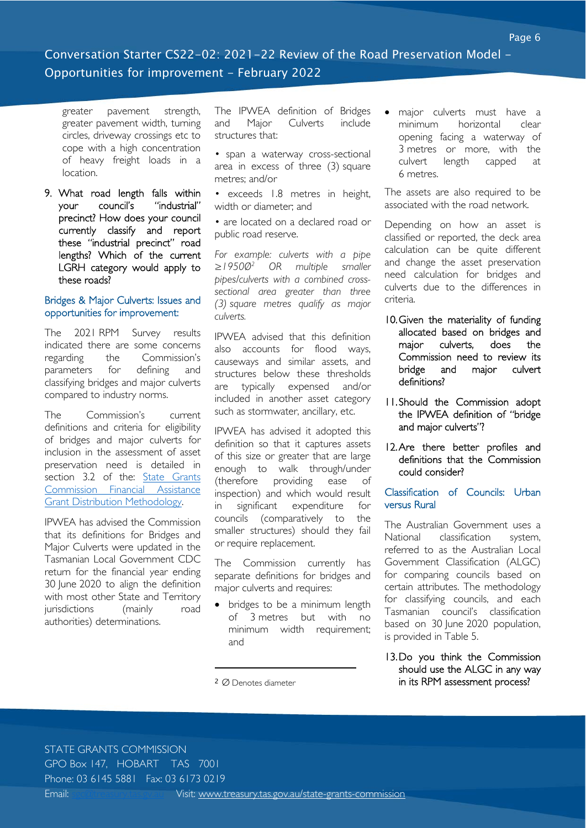# Conversation Starter CS22-02: 2021-22 Review of the Road Preservation Model - Opportunities for improvement - February 2022

greater pavement strength, greater pavement width, turning circles, driveway crossings etc to cope with a high concentration of heavy freight loads in a location.

9. What road length falls within your council's "industrial" precinct? How does your council currently classify and report these "industrial precinct" road lengths? Which of the current LGRH category would apply to these roads?

#### Bridges & Major Culverts: Issues and opportunities for improvement:

The 2021 RPM Survey results indicated there are some concerns regarding the Commission's parameters for defining and classifying bridges and major culverts compared to industry norms.

The Commission's current definitions and criteria for eligibility of bridges and major culverts for inclusion in the assessment of asset preservation need is detailed in section 3.2 of the: State Grants Commission Financial Assistance Grant Distribution Methodology.

IPWEA has advised the Commission that its definitions for Bridges and Major Culverts were updated in the Tasmanian Local Government CDC return for the financial year ending 30 June 2020 to align the definition with most other State and Territory jurisdictions (mainly road authorities) determinations.

The IPWEA definition of Bridges and Major Culverts include structures that:

• span a waterway cross-sectional area in excess of three (3) square metres; and/or

• exceeds 1.8 metres in height, width or diameter; and

• are located on a declared road or public road reserve.

*For example: culverts with a pipe ≥1950Ø2 OR multiple smaller pipes/culverts with a combined crosssectional area greater than three (3) square metres qualify as major culverts.* 

IPWEA advised that *t*his definition also accounts for flood ways, causeways and similar assets, and structures below these thresholds are typically expensed and/or included in another asset category such as stormwater, ancillary, etc.

IPWEA has advised it adopted this definition so that it captures assets of this size or greater that are large enough to walk through/under (therefore providing ease of inspection) and which would result in significant expenditure for councils (comparatively to the smaller structures) should they fail or require replacement.

The Commission currently has separate definitions for bridges and major culverts and requires:

• bridges to be a minimum length of 3 metres but with no minimum width requirement; and

<sup>2</sup> Ø Denotes diameter

-

• major culverts must have a minimum horizontal clear opening facing a waterway of 3 metres or more, with the culvert length capped at 6 metres.

The assets are also required to be associated with the road network.

Depending on how an asset is classified or reported, the deck area calculation can be quite different and change the asset preservation need calculation for bridges and culverts due to the differences in criteria.

- 10.Given the materiality of funding allocated based on bridges and major culverts, does the Commission need to review its bridge and major culvert definitions?
- 11.Should the Commission adopt the IPWEA definition of "bridge and major culverts"?
- 12. Are there better profiles and definitions that the Commission could consider?

## Classification of Councils: Urban versus Rural

The Australian Government uses a National classification system, referred to as the Australian Local Government Classification (ALGC) for comparing councils based on certain attributes. The methodology for classifying councils, and each Tasmanian council's classification based on 30 June 2020 population, is provided in Table 5.

#### 13.Do you think the Commission should use the ALGC in any way in its RPM assessment process?

STATE GRANTS COMMISSION

GPO Box 147, HOBART TAS 7001

Phone: 03 6145 5881 Fax: 03 6173 0219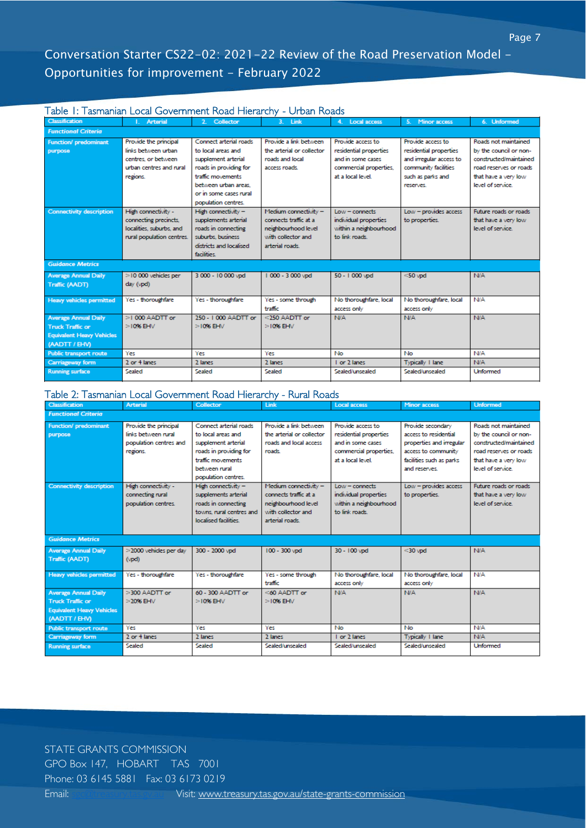# Conversation Starter CS22-02: 2021-22 Review of the Road Preservation Model - Opportunities for improvement - February 2022

#### Table 1: Tasmanian Local Government Road Hierarchy - Urban Roads

| <b>Classification</b>            | Arterial                  | 2. Collector            | 3. Link                   | 4. Local access        | 5. Minor access         | 6. Unformed            |  |  |  |
|----------------------------------|---------------------------|-------------------------|---------------------------|------------------------|-------------------------|------------------------|--|--|--|
| <b>Functional Criteria</b>       |                           |                         |                           |                        |                         |                        |  |  |  |
| Function/ predominant            | Provide the principal     | Connect arterial roads  | Provide a link between.   | Provide access to      | Provide access to       | Roads not maintained   |  |  |  |
| purpose                          | links between urban.      | to local areas and      | the arterial or collector | residential properties | residential properties  | by the council or non- |  |  |  |
|                                  | centres, or between.      | supplement arterial     | roads and local           | and in some cases      | and irregular access to | constructed/maintained |  |  |  |
|                                  | urban centres and rural   | roads in providing for  | access roads.             | commercial properties, | community facilities    | road reserves or roads |  |  |  |
|                                  | regions.                  | traffic movements       |                           | at a local level.      | such as parks and       | that have a very low   |  |  |  |
|                                  |                           | between urban areas.    |                           |                        | reserves.               | level of service.      |  |  |  |
|                                  |                           | or in some cases rural  |                           |                        |                         |                        |  |  |  |
|                                  |                           | population centres.     |                           |                        |                         |                        |  |  |  |
| <b>Connectivity description</b>  | High connectivity -       | High connectivity -     | Medium connectivity -     | $Low = connects$       | Low - provides access   | Future roads or roads  |  |  |  |
|                                  | connecting precincts.     | supplements arterial    | connects traffic at a     | individual properties  | to properties.          | that have a very low   |  |  |  |
|                                  | localities, suburbs, and  | roads in connecting     | neighbourhood level       | within a neighbourhood |                         | level of service.      |  |  |  |
|                                  | rural population centres. | suburbs, business       | with collector and        | to link roads.         |                         |                        |  |  |  |
|                                  |                           | districts and localised | arterial roads.           |                        |                         |                        |  |  |  |
|                                  |                           | facilities.             |                           |                        |                         |                        |  |  |  |
| <b>Guidance Metrics</b>          |                           |                         |                           |                        |                         |                        |  |  |  |
| <b>Average Annual Daily</b>      | $>$ 10 000 vehicles per   | 3 000 - 10 000 vpd      | 1000 - 3000 vpd           | 50 - 1000 vpd          | $<$ 50 vpd              | <b>N/A</b>             |  |  |  |
| <b>Traffic (AADT)</b>            | day (vpd)                 |                         |                           |                        |                         |                        |  |  |  |
|                                  |                           |                         |                           |                        |                         |                        |  |  |  |
| <b>Heavy vehicles permitted</b>  | Yes - thoroughfare        | Yes - thoroughfare      | Yes - some through        | No thoroughfare, local | No thoroughfare, local  | <b>N/A</b>             |  |  |  |
|                                  |                           |                         | traffic                   | access only            | access only             |                        |  |  |  |
| <b>Average Annual Daily</b>      | >1 000 AADTT or           | 250 - 1000 AADTT or     | $<$ 250 AADTT or          | <b>N/A</b>             | <b>N/A</b>              | <b>N/A</b>             |  |  |  |
| <b>Truck Traffic or</b>          | $>10\%$ EHV               | $>10\%$ EHV             | $>10\%$ EHV               |                        |                         |                        |  |  |  |
| <b>Equivalent Heavy Vehicles</b> |                           |                         |                           |                        |                         |                        |  |  |  |
| (AADTT / EHV)                    |                           |                         |                           |                        |                         |                        |  |  |  |
| <b>Public transport route</b>    | Yes                       | Yes                     | Yes                       | No                     | <b>No</b>               | N/A                    |  |  |  |
| Carriageway form                 | 2 or 4 lanes              | 2 lanes                 | 2 lanes                   | 1 or 2 lanes           | Typically 1 lane        | <b>N/A</b>             |  |  |  |
| <b>Running surface</b>           | Sealed                    | Sealed                  | Sealed                    | Sealed/unsealed        | Sealed/unsealed         | <b>Unformed</b>        |  |  |  |

#### Table 2: Tasmanian Local Government Road Hierarchy - Rural Roads

| <b>Classification</b>            | <b>Arterial</b>        | Collector                | Link                      | <b>Local access</b>    | Minor access             | <b>Unformed</b>        |  |  |  |
|----------------------------------|------------------------|--------------------------|---------------------------|------------------------|--------------------------|------------------------|--|--|--|
| <b>Functional Criteria</b>       |                        |                          |                           |                        |                          |                        |  |  |  |
| <b>Function/ predominant</b>     | Provide the principal  | Connect arterial roads   | Provide a link between    | Provide access to      | Provide secondary        | Roads not maintained   |  |  |  |
| purpose                          | links between rural    | to local areas and       | the arterial or collector | residential properties | access to residential    | by the council or non- |  |  |  |
|                                  | population centres and | supplement arterial      | roads and local access    | and in some cases      | properties and irregular | constructed/maintained |  |  |  |
|                                  | regions.               | roads in providing for   | roads.                    | commercial properties, | access to community      | road reserves or roads |  |  |  |
|                                  |                        | traffic movements        |                           | at a local level.      | facilities such as parks | that have a very low   |  |  |  |
|                                  |                        | between rural            |                           |                        | and reserves.            | level of service.      |  |  |  |
|                                  |                        | population centres.      |                           |                        |                          |                        |  |  |  |
| <b>Connectivity description</b>  | High connectivity -    | High connectivity $-$    | Medium connectivity -     | $Low = connects$       | Low - provides access    | Future roads or roads. |  |  |  |
|                                  | connecting rural       | supplements arterial     | connects traffic at a     | individual properties  | to properties.           | that have a very low   |  |  |  |
|                                  | population centres.    | roads in connecting      | neighbourhood level       | within a neighbourhood |                          | level of service.      |  |  |  |
|                                  |                        | towns, rural centres and | with collector and        | to link mark.          |                          |                        |  |  |  |
|                                  |                        | localised facilities.    | arterial roads.           |                        |                          |                        |  |  |  |
|                                  |                        |                          |                           |                        |                          |                        |  |  |  |
| <b>Guidance Metrics</b>          |                        |                          |                           |                        |                          |                        |  |  |  |
| <b>Average Annual Daily</b>      | >2000 vehicles per day | 300 - 2000 vpd           | 100 - 300 vpd             | 30 - 100 vpd           | $<$ 30 $vpd$             | <b>N/A</b>             |  |  |  |
| Traffic (AADT)                   | (vpd)                  |                          |                           |                        |                          |                        |  |  |  |
|                                  |                        |                          |                           |                        |                          |                        |  |  |  |
| <b>Heavy vehicles permitted</b>  | Yes - thoroughfare     | Yes - thoroughfare       | Yes - some through        | No thoroughfare, local | No thoroughfare, local   | <b>N/A</b>             |  |  |  |
|                                  |                        |                          | traffic                   | access only            | access only              |                        |  |  |  |
| <b>Average Annual Daily</b>      | >300 AADTT or          | 60 - 300 AADTT or        | $<$ 60 AADTT or           | <b>N/A</b>             | <b>N/A</b>               | <b>N/A</b>             |  |  |  |
| <b>Truck Traffic or</b>          | $>2096$ EHV            | $>1096$ EHV              | $>10\%$ EHV               |                        |                          |                        |  |  |  |
| <b>Equivalent Heavy Vehicles</b> |                        |                          |                           |                        |                          |                        |  |  |  |
| (AADTT / EHV)                    |                        |                          |                           |                        |                          |                        |  |  |  |
| <b>Public transport route</b>    | Yes                    | Yes                      | Yes                       | No                     | No                       | <b>N/A</b>             |  |  |  |
| Carriageway form                 | 2 or 4 lanes           | 2 lanes                  | 2 lanes                   | I or 2 lanes           | Typically 1 lane         | <b>N/A</b>             |  |  |  |
| <b>Running surface</b>           | Sealed                 | Sealed                   | Sealed/unsealed           | Sealed/unsealed        | Sealed/unsealed          | <b>Unformed</b>        |  |  |  |
|                                  |                        |                          |                           |                        |                          |                        |  |  |  |

STATE GRANTS COMMISSION GPO Box 147, HOBART TAS 7001 Phone: 03 6145 5881 Fax: 03 6173 0219 Email: sgc@treasury.tas.gv.au Visit: www.treasury.tas.gov.au/state-grants-commission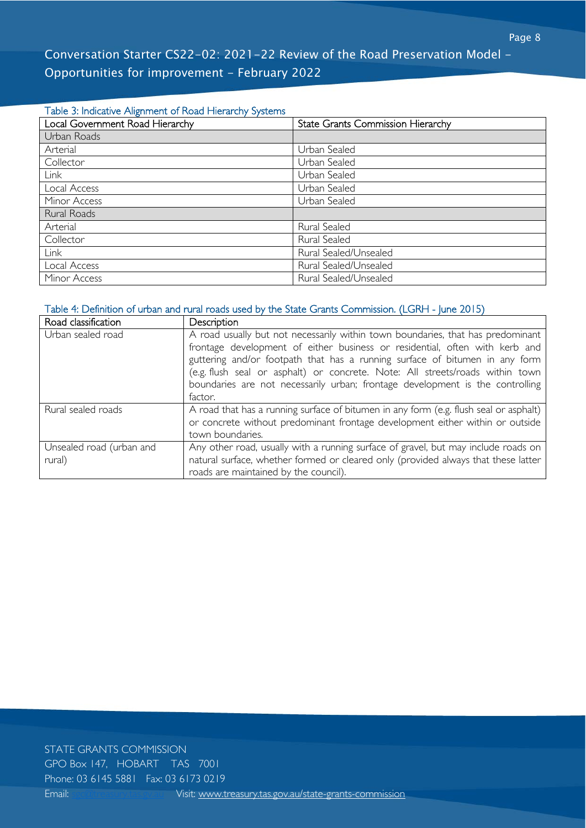#### Table 3: Indicative Alignment of Road Hierarchy Systems

| Local Government Road Hierarchy | <b>State Grants Commission Hierarchy</b> |
|---------------------------------|------------------------------------------|
| Urban Roads                     |                                          |
| Arterial                        | Urban Sealed                             |
| Collector                       | Urban Sealed                             |
| Link                            | Urban Sealed                             |
| Local Access                    | Urban Sealed                             |
| Minor Access                    | Urban Sealed                             |
| Rural Roads                     |                                          |
| Arterial                        | Rural Sealed                             |
| Collector                       | Rural Sealed                             |
| <b>Link</b>                     | Rural Sealed/Unsealed                    |
| Local Access                    | Rural Sealed/Unsealed                    |
| Minor Access                    | Rural Sealed/Unsealed                    |

# Table 4: Definition of urban and rural roads used by the State Grants Commission. (LGRH - June 2015)

| Road classification      | Description                                                                                                                                                                                                                                                                                                                                                                                                                |
|--------------------------|----------------------------------------------------------------------------------------------------------------------------------------------------------------------------------------------------------------------------------------------------------------------------------------------------------------------------------------------------------------------------------------------------------------------------|
| Urban sealed road        | A road usually but not necessarily within town boundaries, that has predominant<br>frontage development of either business or residential, often with kerb and<br>guttering and/or footpath that has a running surface of bitumen in any form<br>(e.g. flush seal or asphalt) or concrete. Note: All streets/roads within town<br>boundaries are not necessarily urban; frontage development is the controlling<br>factor. |
| Rural sealed roads       | A road that has a running surface of bitumen in any form (e.g. flush seal or asphalt)                                                                                                                                                                                                                                                                                                                                      |
|                          | or concrete without predominant frontage development either within or outside<br>town boundaries.                                                                                                                                                                                                                                                                                                                          |
| Unsealed road (urban and | Any other road, usually with a running surface of gravel, but may include roads on                                                                                                                                                                                                                                                                                                                                         |
| rural)                   | natural surface, whether formed or cleared only (provided always that these latter                                                                                                                                                                                                                                                                                                                                         |
|                          | roads are maintained by the council).                                                                                                                                                                                                                                                                                                                                                                                      |